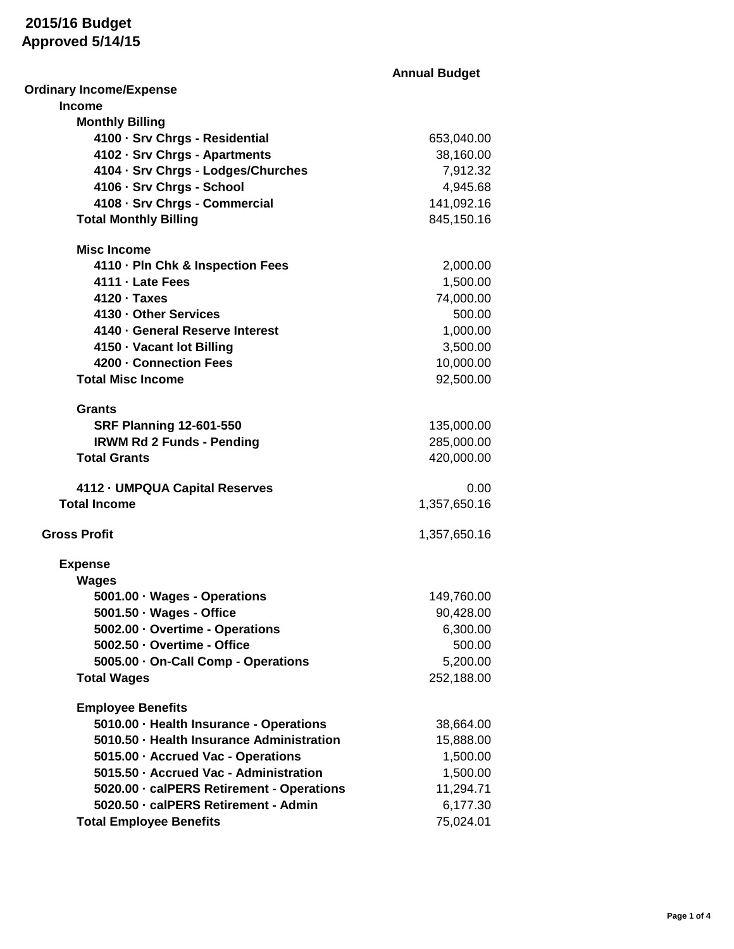### **Annual Budget Ordinary Income/Expense Income Monthly Billing 4100 · Srv Chrgs - Residential** 653,040.00 **4102 · Srv Chrgs - Apartments** 38,160.00 **4104 · Srv Chrgs - Lodges/Churches** 7,912.32 **4106 · Srv Chrgs - School 4,945.68 4108 · Srv Chrgs - Commercial** 141,092.16 **Total Monthly Billing** 845,150.16 **Misc Income 4110 · Pln Chk & Inspection Fees** 2,000.00 **4111 · Late Fees** 1,500.00 **4120 · Taxes** 74,000.00 **4130 · Other Services** 500.00 **4140 · General Reserve Interest** 1,000.00 **4150 · Vacant lot Billing** 3,500.00 **4200 · Connection Fees** 10,000.00 **Total Misc Income 62,500.00 Grants SRF Planning 12-601-550** 135,000.00 **IRWM Rd 2 Funds - Pending 285,000.00 Total Grants** 420,000.00 **4112 · UMPQUA Capital Reserves** 0.00 **Total Income** 1,357,650.16 **Gross Profit** 1,357,650.16 **Expense Wages 5001.00 · Wages - Operations** 149,760.00 **5001.50 · Wages - Office** 90,428.00 **5002.00 · Overtime - Operations** 6,300.00 **5002.50 · Overtime - Office** 500.00 **5005.00 · On-Call Comp - Operations** 5,200.00 **Total Wages** 252,188.00 **Employee Benefits 5010.00 · Health Insurance - Operations** 38,664.00 **5010.50 · Health Insurance Administration** 15,888.00 **5015.00 · Accrued Vac - Operations** 1,500.00 **5015.50 · Accrued Vac - Administration** 1,500.00 **5020.00 · calPERS Retirement - Operations** 11,294.71 **5020.50 · calPERS Retirement - Admin** 6,177.30 **Total Employee Benefits** 75,024.01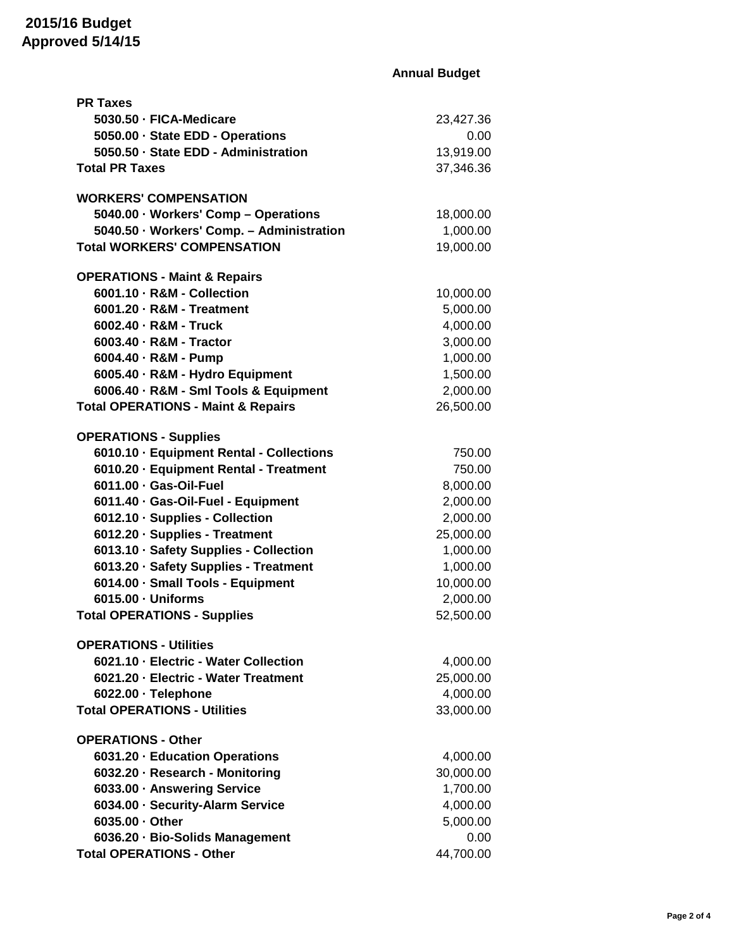#### **Annual Budget**

| <b>PR Taxes</b>                               |           |
|-----------------------------------------------|-----------|
| 5030.50 - FICA-Medicare                       | 23,427.36 |
| 5050.00 · State EDD - Operations              | 0.00      |
| 5050.50 · State EDD - Administration          | 13,919.00 |
| <b>Total PR Taxes</b>                         | 37,346.36 |
|                                               |           |
| <b>WORKERS' COMPENSATION</b>                  |           |
| 5040.00 · Workers' Comp - Operations          | 18,000.00 |
| 5040.50 · Workers' Comp. - Administration     | 1,000.00  |
| <b>Total WORKERS' COMPENSATION</b>            | 19,000.00 |
| <b>OPERATIONS - Maint &amp; Repairs</b>       |           |
| 6001.10 · R&M - Collection                    | 10,000.00 |
| 6001.20 - R&M - Treatment                     | 5,000.00  |
| 6002.40 - R&M - Truck                         | 4,000.00  |
| 6003.40 - R&M - Tractor                       | 3,000.00  |
| 6004.40 - R&M - Pump                          | 1,000.00  |
| 6005.40 · R&M - Hydro Equipment               | 1,500.00  |
| 6006.40 - R&M - Sml Tools & Equipment         | 2,000.00  |
| <b>Total OPERATIONS - Maint &amp; Repairs</b> | 26,500.00 |
|                                               |           |
| <b>OPERATIONS - Supplies</b>                  |           |
| 6010.10 · Equipment Rental - Collections      | 750.00    |
| 6010.20 · Equipment Rental - Treatment        | 750.00    |
| 6011.00 - Gas-Oil-Fuel                        | 8,000.00  |
| 6011.40 · Gas-Oil-Fuel - Equipment            | 2,000.00  |
| 6012.10 · Supplies - Collection               | 2,000.00  |
| 6012.20 · Supplies - Treatment                | 25,000.00 |
| 6013.10 · Safety Supplies - Collection        | 1,000.00  |
| 6013.20 · Safety Supplies - Treatment         | 1,000.00  |
| 6014.00 · Small Tools - Equipment             | 10,000.00 |
| 6015.00 - Uniforms                            | 2,000.00  |
| <b>Total OPERATIONS - Supplies</b>            | 52,500.00 |
| <b>OPERATIONS - Utilities</b>                 |           |
| 6021.10 - Electric - Water Collection         | 4,000.00  |
| 6021.20 - Electric - Water Treatment          | 25,000.00 |
| 6022.00 · Telephone                           | 4,000.00  |
| <b>Total OPERATIONS - Utilities</b>           | 33,000.00 |
|                                               |           |
| <b>OPERATIONS - Other</b>                     |           |
| 6031.20 - Education Operations                | 4,000.00  |
| 6032.20 - Research - Monitoring               | 30,000.00 |
| 6033.00 · Answering Service                   | 1,700.00  |
| 6034.00 - Security-Alarm Service              | 4,000.00  |
| 6035.00 - Other                               | 5,000.00  |
| 6036.20 - Bio-Solids Management               | 0.00      |
| <b>Total OPERATIONS - Other</b>               | 44,700.00 |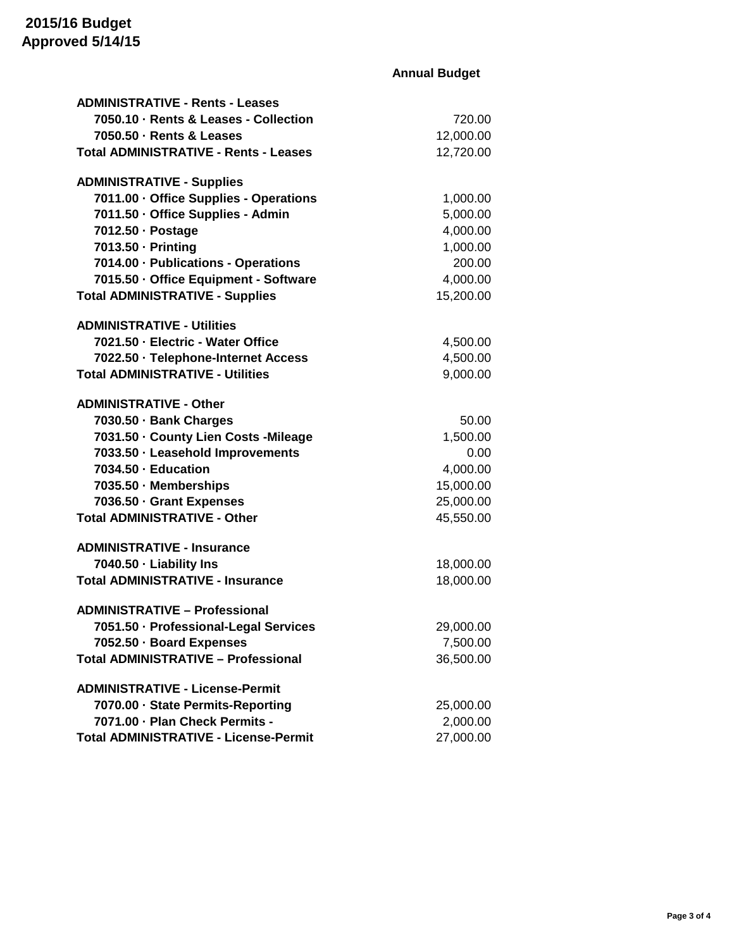### **Annual Budget**

| <b>ADMINISTRATIVE - Rents - Leases</b>       |           |
|----------------------------------------------|-----------|
| 7050.10 - Rents & Leases - Collection        | 720.00    |
| 7050.50 - Rents & Leases                     | 12,000.00 |
| <b>Total ADMINISTRATIVE - Rents - Leases</b> | 12,720.00 |
| <b>ADMINISTRATIVE - Supplies</b>             |           |
| 7011.00 - Office Supplies - Operations       | 1,000.00  |
| 7011.50 - Office Supplies - Admin            | 5,000.00  |
| 7012.50 · Postage                            | 4,000.00  |
| 7013.50 - Printing                           | 1,000.00  |
| 7014.00 - Publications - Operations          | 200.00    |
| 7015.50 - Office Equipment - Software        | 4,000.00  |
| <b>Total ADMINISTRATIVE - Supplies</b>       | 15,200.00 |
| <b>ADMINISTRATIVE - Utilities</b>            |           |
| 7021.50 - Electric - Water Office            | 4,500.00  |
| 7022.50 · Telephone-Internet Access          | 4,500.00  |
| <b>Total ADMINISTRATIVE - Utilities</b>      | 9,000.00  |
| <b>ADMINISTRATIVE - Other</b>                |           |
| 7030.50 · Bank Charges                       | 50.00     |
| 7031.50 · County Lien Costs - Mileage        | 1,500.00  |
| 7033.50 · Leasehold Improvements             | 0.00      |
| 7034.50 - Education                          | 4,000.00  |
| 7035.50 - Memberships                        | 15,000.00 |
| 7036.50 Grant Expenses                       | 25,000.00 |
| <b>Total ADMINISTRATIVE - Other</b>          | 45,550.00 |
| <b>ADMINISTRATIVE - Insurance</b>            |           |
| 7040.50 - Liability Ins                      | 18,000.00 |
| <b>Total ADMINISTRATIVE - Insurance</b>      | 18,000.00 |
| <b>ADMINISTRATIVE - Professional</b>         |           |
| 7051.50 - Professional-Legal Services        | 29,000.00 |
| 7052.50 · Board Expenses                     | 7,500.00  |
| <b>Total ADMINISTRATIVE - Professional</b>   | 36,500.00 |
| <b>ADMINISTRATIVE - License-Permit</b>       |           |
| 7070.00 · State Permits-Reporting            | 25,000.00 |
| 7071.00 - Plan Check Permits -               | 2,000.00  |
| <b>Total ADMINISTRATIVE - License-Permit</b> | 27,000.00 |